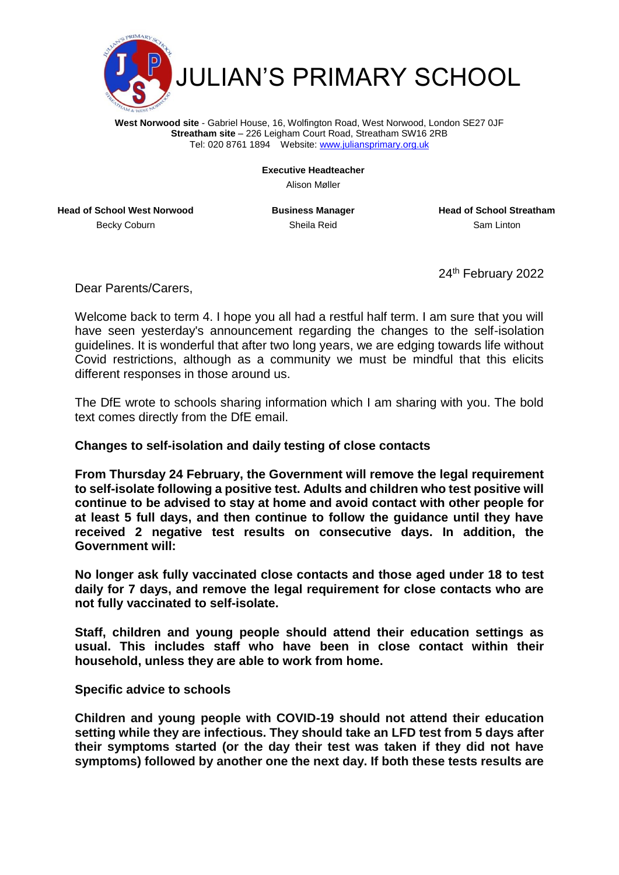

**West Norwood site** - Gabriel House, 16, Wolfington Road, West Norwood, London SE27 0JF **Streatham site** – 226 Leigham Court Road, Streatham SW16 2RB Tel: 020 8761 1894 Website[: www.juliansprimary.org.uk](http://www.juliansprimary.org.uk/)

**Executive Headteacher**

Alison Møller

**Head of School West Norwood Business Manager Head of School Streatham** Becky Coburn **Sheila Reid** Sheila Reid Sam Linton

24<sup>th</sup> February 2022

Dear Parents/Carers,

Welcome back to term 4. I hope you all had a restful half term. I am sure that you will have seen yesterday's announcement regarding the changes to the self-isolation guidelines. It is wonderful that after two long years, we are edging towards life without Covid restrictions, although as a community we must be mindful that this elicits different responses in those around us.

The DfE wrote to schools sharing information which I am sharing with you. The bold text comes directly from the DfE email.

## **Changes to self-isolation and daily testing of close contacts**

**From Thursday 24 February, the Government will remove the legal requirement to self-isolate following a positive test. Adults and children who test positive will continue to be advised to stay at home and avoid contact with other people for at least 5 full days, and then continue to follow the guidance until they have received 2 negative test results on consecutive days. In addition, the Government will:**

**No longer ask fully vaccinated close contacts and those aged under 18 to test daily for 7 days, and remove the legal requirement for close contacts who are not fully vaccinated to self-isolate.**

**Staff, children and young people should attend their education settings as usual. This includes staff who have been in close contact within their household, unless they are able to work from home.**

## **Specific advice to schools**

**Children and young people with COVID-19 should not attend their education setting while they are infectious. They should take an LFD test from 5 days after their symptoms started (or the day their test was taken if they did not have symptoms) followed by another one the next day. If both these tests results are**